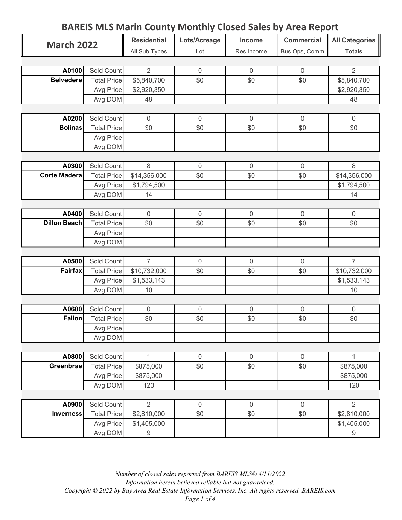## BAREIS MLS Marin County Monthly Closed Sales by Area Report

| <b>March 2022</b>   |                    | <b>Residential</b> | Lots/Acreage     | Income         | <b>Commercial</b> | <b>All Categories</b> |
|---------------------|--------------------|--------------------|------------------|----------------|-------------------|-----------------------|
|                     |                    | All Sub Types      | Lot              | Res Income     | Bus Ops, Comm     | <b>Totals</b>         |
|                     |                    |                    |                  |                |                   |                       |
| A0100               | Sold Count         | $\overline{2}$     | $\boldsymbol{0}$ | $\overline{0}$ | $\mathbf{0}$      | $\overline{2}$        |
| <b>Belvedere</b>    | <b>Total Price</b> | \$5,840,700        | \$0              | \$0            | \$0               | \$5,840,700           |
|                     | Avg Price          | \$2,920,350        |                  |                |                   | \$2,920,350           |
|                     | Avg DOM            | 48                 |                  |                |                   | 48                    |
|                     |                    |                    |                  |                |                   |                       |
| A0200               | Sold Count         | $\mathbf 0$        | $\mathbf 0$      | $\mathbf 0$    | $\mathbf 0$       | $\overline{0}$        |
| <b>Bolinas</b>      | <b>Total Price</b> | \$0                | \$0              | \$0            | \$0               | \$0                   |
|                     | Avg Price          |                    |                  |                |                   |                       |
|                     | Avg DOM            |                    |                  |                |                   |                       |
|                     |                    |                    |                  |                |                   |                       |
| A0300               | Sold Count         | 8                  | $\mathbf 0$      | $\mathbf 0$    | $\mathbf 0$       | 8                     |
| <b>Corte Madera</b> | <b>Total Price</b> | \$14,356,000       | \$0              | \$0            | \$0               | \$14,356,000          |
|                     | Avg Price          | \$1,794,500        |                  |                |                   | \$1,794,500           |
|                     | Avg DOM            | 14                 |                  |                |                   | 14                    |
|                     |                    |                    |                  |                |                   |                       |
| A0400               | Sold Count         | $\mathbf 0$        | $\mathbf 0$      | $\overline{0}$ | $\mathbf 0$       | $\mathsf{O}\xspace$   |
| <b>Dillon Beach</b> | <b>Total Price</b> | \$0                | \$0              | \$0            | \$0               | \$0                   |
|                     | Avg Price          |                    |                  |                |                   |                       |
|                     | Avg DOM            |                    |                  |                |                   |                       |
|                     |                    |                    |                  |                |                   |                       |
| A0500               | Sold Count         | $\overline{7}$     | $\mathbf 0$      | $\mathbf 0$    | $\mathbf 0$       | $\overline{7}$        |
| <b>Fairfax</b>      | <b>Total Price</b> | \$10,732,000       | \$0              | \$0            | \$0               | \$10,732,000          |
|                     | Avg Price          | \$1,533,143        |                  |                |                   | \$1,533,143           |
|                     | Avg DOM            | 10                 |                  |                |                   | 10                    |
|                     |                    |                    |                  |                |                   |                       |
| A0600<br>Fallon     | Sold Count         | $\mathbf 0$        | $\boldsymbol{0}$ | $\mathbf 0$    | $\mathbf 0$       | $\boldsymbol{0}$      |
|                     | <b>Total Price</b> | \$0                | \$0              | \$0            | \$0               | \$0                   |
|                     | Avg Price          |                    |                  |                |                   |                       |
|                     | Avg DOM            |                    |                  |                |                   |                       |
| A0800               | Sold Count         | $\mathbf{1}$       | $\boldsymbol{0}$ | $\mathbf 0$    | $\mathbf 0$       | 1                     |
| Greenbrae           | <b>Total Price</b> | \$875,000          | \$0              | \$0            | \$0               | \$875,000             |
|                     | Avg Price          | \$875,000          |                  |                |                   | \$875,000             |
|                     | Avg DOM            | 120                |                  |                |                   | 120                   |
|                     |                    |                    |                  |                |                   |                       |
| A0900               | Sold Count         | $\overline{2}$     | $\mathbf 0$      | $\mathbf 0$    | $\mathbf 0$       | $\overline{2}$        |
| <b>Inverness</b>    | <b>Total Price</b> | \$2,810,000        | \$0              | \$0            | \$0               | \$2,810,000           |
|                     | Avg Price          | \$1,405,000        |                  |                |                   | \$1,405,000           |
|                     | Avg DOM            | 9                  |                  |                |                   | 9                     |
|                     |                    |                    |                  |                |                   |                       |

Number of closed sales reported from BAREIS MLS® 4/11/2022 Information herein believed reliable but not guaranteed. Copyright © 2022 by Bay Area Real Estate Information Services, Inc. All rights reserved. BAREIS.com Page 1 of 4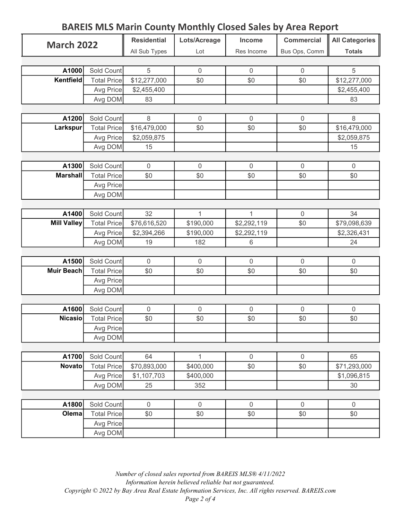## BAREIS MLS Marin County Monthly Closed Sales by Area Report

| <b>March 2022</b>  |                    | <b>Residential</b> | Lots/Acreage     | Income           | <b>Commercial</b> | <b>All Categories</b> |
|--------------------|--------------------|--------------------|------------------|------------------|-------------------|-----------------------|
|                    |                    | All Sub Types      | Lot              | Res Income       | Bus Ops, Comm     | <b>Totals</b>         |
|                    |                    |                    |                  |                  |                   |                       |
| A1000              | Sold Count         | 5                  | $\mathbf 0$      | $\mathbf 0$      | $\mathbf 0$       | 5                     |
| Kentfield          | <b>Total Price</b> | \$12,277,000       | \$0              | \$0              | \$0               | \$12,277,000          |
|                    | Avg Price          | \$2,455,400        |                  |                  |                   | \$2,455,400           |
|                    | Avg DOM            | 83                 |                  |                  |                   | 83                    |
|                    |                    |                    |                  |                  |                   |                       |
| A1200              | Sold Count         | $\,8\,$            | $\boldsymbol{0}$ | $\boldsymbol{0}$ | $\mathbf 0$       | $\,8\,$               |
| Larkspur           | <b>Total Price</b> | \$16,479,000       | \$0              | \$0              | \$0               | \$16,479,000          |
|                    | Avg Price          | \$2,059,875        |                  |                  |                   | \$2,059,875           |
|                    | Avg DOM            | 15                 |                  |                  |                   | 15                    |
|                    |                    |                    |                  |                  |                   |                       |
| A1300              | Sold Count         | $\mathbf 0$        | $\boldsymbol{0}$ | $\mathbf 0$      | $\mathbf 0$       | $\mathbf 0$           |
| <b>Marshall</b>    | <b>Total Price</b> | \$0                | \$0              | \$0              | \$0               | \$0                   |
|                    | Avg Price          |                    |                  |                  |                   |                       |
|                    | Avg DOM            |                    |                  |                  |                   |                       |
|                    |                    |                    |                  |                  |                   |                       |
| A1400              | Sold Count         | 32                 | $\mathbf{1}$     | 1                | $\mathbf 0$       | 34                    |
| <b>Mill Valley</b> | <b>Total Price</b> | \$76,616,520       | \$190,000        | \$2,292,119      | \$0               | \$79,098,639          |
|                    | Avg Price          | \$2,394,266        | \$190,000        | \$2,292,119      |                   | \$2,326,431           |
|                    | Avg DOM            | 19                 | 182              | 6                |                   | 24                    |
|                    |                    |                    |                  |                  |                   |                       |
| A1500              | Sold Count         | $\overline{0}$     | $\boldsymbol{0}$ | $\mathbf 0$      | $\mathbf 0$       | $\mathbf 0$           |
| Muir Beach         | <b>Total Price</b> | \$0                | \$0              | \$0              | \$0               | \$0                   |
|                    | Avg Price          |                    |                  |                  |                   |                       |
|                    | Avg DOM            |                    |                  |                  |                   |                       |
|                    |                    |                    |                  |                  |                   |                       |
| A1600              | Sold Count         | $\overline{0}$     | $\boldsymbol{0}$ | $\mathbf 0$      | $\mathbf 0$       | $\mathsf{O}\xspace$   |
| <b>Nicasio</b>     | <b>Total Price</b> | \$0                | \$0              | \$0              | \$0               | \$0                   |
|                    | Avg Price          |                    |                  |                  |                   |                       |
|                    | Avg DOM            |                    |                  |                  |                   |                       |
|                    |                    |                    |                  |                  |                   |                       |
| A1700              | Sold Count         | 64                 | 1                | $\mathbf 0$      | $\mathbf 0$       | 65                    |
| <b>Novato</b>      | <b>Total Price</b> | \$70,893,000       | \$400,000        | \$0              | \$0               | \$71,293,000          |
|                    | Avg Price          | \$1,107,703        | \$400,000        |                  |                   | \$1,096,815           |
|                    | Avg DOM            | 25                 | 352              |                  |                   | 30                    |
|                    |                    |                    |                  | $\mathbf 0$      |                   |                       |
| A1800<br>Olema     | Sold Count         | $\mathbf 0$        | $\boldsymbol{0}$ |                  | $\mathbf 0$       | $\boldsymbol{0}$      |
|                    | <b>Total Price</b> | \$0                | \$0              | \$0              | \$0               | \$0                   |
|                    | Avg Price          |                    |                  |                  |                   |                       |
|                    | Avg DOM            |                    |                  |                  |                   |                       |

Number of closed sales reported from BAREIS MLS® 4/11/2022 Information herein believed reliable but not guaranteed. Copyright © 2022 by Bay Area Real Estate Information Services, Inc. All rights reserved. BAREIS.com Page 2 of 4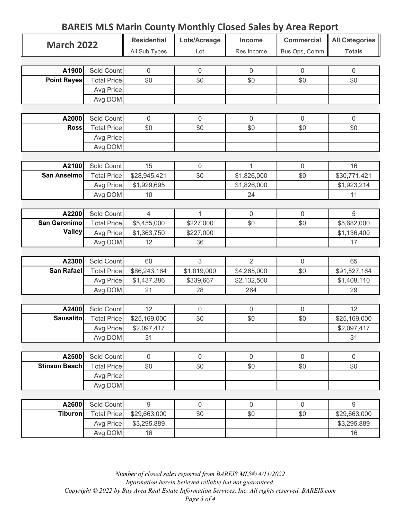## BAREIS MLS Marin County Monthly Closed Sales by Area Report Residential | Lots/Acreage | Income | Commercial || All Categories All Sub Types | Lot | Res Income | Bus Ops, Comm | Totals March 2022 A1900 Sold Count 0 0 0 0 0 Total Price 50 \$0 \$0 \$0 \$0 \$0 Avg Price Avg DOM **A2000** Sold Count **0** 0 0 0 0 0 0 0 0 0 Total Price 50 \$0 \$0 \$0 \$0 \$0 Avg Price Avg DOM **A2100** Sold Count 15 0 1 1 0 16 Total Price \$28,945,421 \$0 \$1,826,000 \$0 \$30,771,421 Avg Price \$1,929,695 \$1,826,000 \$1,826,000 \$1,923,214 Avg DOM 10 10 24 11 **A2200** Sold Count 4 1 1 0 0 5 Total Price \$5,455,000 \$227,000 \$0 \$0 \$0 \$5,682,000 Avg Price \$1,363,750 \$227,000 \$227,000 \$1,136,400 Avg DOM 12 36 17 **A2300** Sold Count 60 3 2 0 65 Total Price  $$86,243,164$   $$1,019,000$   $$4,265,000$   $$91,527,164$ Avg Price \$1,437,386 \$339,667 \$2,132,500 \$1,408,110 Avg DOM 21 28 264 264 29 **A2400** Sold Count 12 0 0 0 0 12 Total Price | \$25,169,000 | \$0 | \$0 | \$0 | \$25,169,000 Avg Price \$2,097,417 \$2,097,417 Avg DOM 31 31 31 **A2500** Sold Count **0** 0 0 0 0 0 0 0 0 0 Total Price 50 \$0 \$0 \$0 \$0 \$0 Avg Price Avg DOM **A2600** Sold Count 9 0 0 0 0 9 Total Price \$29,663,000 \$0 \$0 \$0 \$0 \$29,663,000 Avg Price \$3,295,889 \$3,295,889 Avg DOM 16 16 16 **Sausalito** Stinson Beach Tiburon San Rafael Point Reyes Ross San Anselmo San Geronimo Valley

Number of closed sales reported from BAREIS MLS® 4/11/2022 Information herein believed reliable but not guaranteed. Copyright © 2022 by Bay Area Real Estate Information Services, Inc. All rights reserved. BAREIS.com Page 3 of 4